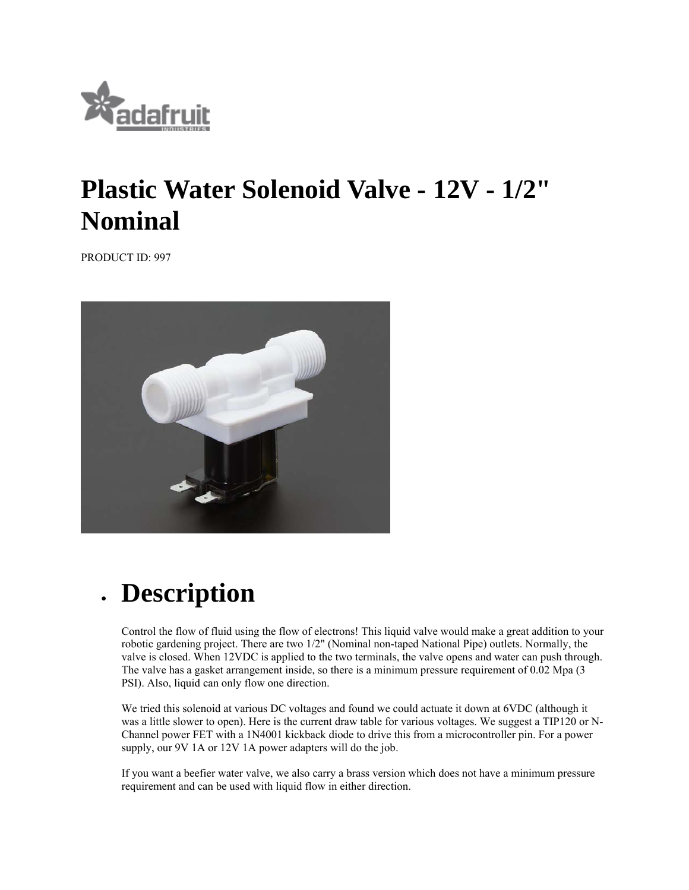

## **Plastic Water Solenoid Valve - 12V - 1/2" Nominal**

PRODUCT ID: 997



## **Description**

Control the flow of fluid using the flow of electrons! This liquid valve would make a great addition to your robotic gardening project. There are two 1/2" (Nominal non-taped National Pipe) outlets. Normally, the valve is closed. When 12VDC is applied to the two terminals, the valve opens and water can push through. The valve has a gasket arrangement inside, so there is a minimum pressure requirement of 0.02 Mpa (3 PSI). Also, liquid can only flow one direction.

We tried this solenoid at various DC voltages and found we could actuate it down at 6VDC (although it was a little slower to open). Here is the current draw table for various voltages. We suggest a TIP120 or N-Channel power FET with a 1N4001 kickback diode to drive this from a microcontroller pin. For a power supply, our 9V 1A or 12V 1A power adapters will do the job.

If you want a beefier water valve, we also carry a brass version which does not have a minimum pressure requirement and can be used with liquid flow in either direction.